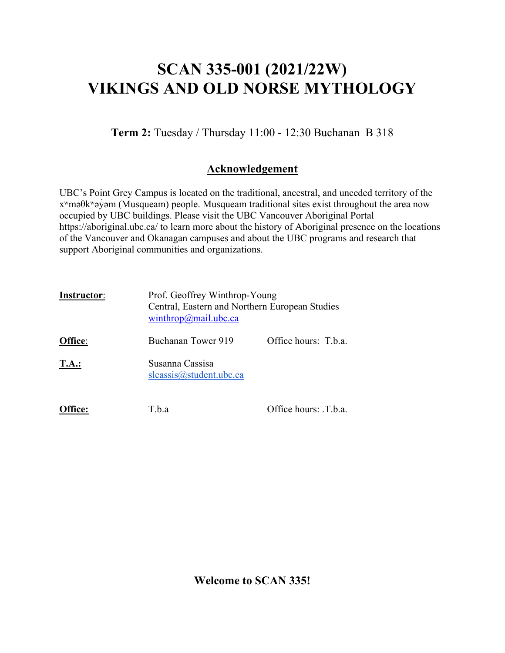# **SCAN 335-001 (2021/22W) VIKINGS AND OLD NORSE MYTHOLOGY**

**Term 2:** Tuesday / Thursday 11:00 - 12:30 Buchanan B 318

### **Acknowledgement**

UBC's Point Grey Campus is located on the traditional, ancestral, and unceded territory of the xʷməθkʷəy̓əm (Musqueam) people. Musqueam traditional sites exist throughout the area now occupied by UBC buildings. Please visit the UBC Vancouver Aboriginal Portal https://aboriginal.ubc.ca/ to learn more about the history of Aboriginal presence on the locations of the Vancouver and Okanagan campuses and about the UBC programs and research that support Aboriginal communities and organizations.

| <b>Instructor:</b> | Prof. Geoffrey Winthrop-Young<br>winthrop@mail.ubc.ca | Central, Eastern and Northern European Studies |  |
|--------------------|-------------------------------------------------------|------------------------------------------------|--|
| Office:            | Buchanan Tower 919                                    | Office hours: T.b.a.                           |  |
| T.A.:              | Susanna Cassisa<br>$s$ lcassis@student.ubc.ca         |                                                |  |
|                    | T.b.a                                                 | Office hours: .T.b.a.                          |  |

**Welcome to SCAN 335!**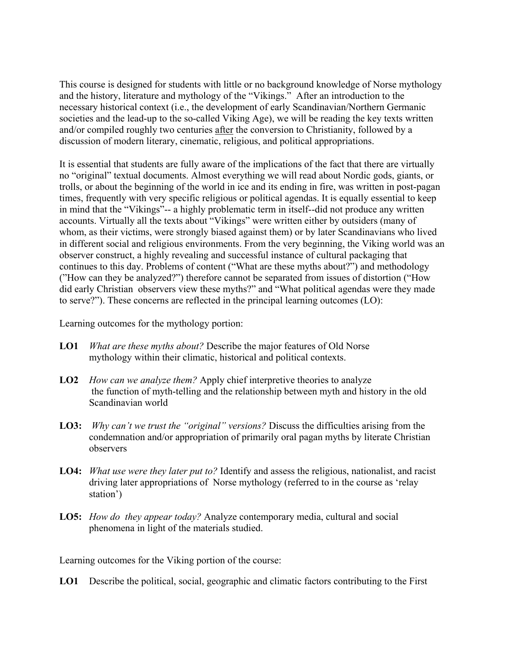This course is designed for students with little or no background knowledge of Norse mythology and the history, literature and mythology of the "Vikings." After an introduction to the necessary historical context (i.e., the development of early Scandinavian/Northern Germanic societies and the lead-up to the so-called Viking Age), we will be reading the key texts written and/or compiled roughly two centuries after the conversion to Christianity, followed by a discussion of modern literary, cinematic, religious, and political appropriations.

It is essential that students are fully aware of the implications of the fact that there are virtually no "original" textual documents. Almost everything we will read about Nordic gods, giants, or trolls, or about the beginning of the world in ice and its ending in fire, was written in post-pagan times, frequently with very specific religious or political agendas. It is equally essential to keep in mind that the "Vikings"-- a highly problematic term in itself--did not produce any written accounts. Virtually all the texts about "Vikings" were written either by outsiders (many of whom, as their victims, were strongly biased against them) or by later Scandinavians who lived in different social and religious environments. From the very beginning, the Viking world was an observer construct, a highly revealing and successful instance of cultural packaging that continues to this day. Problems of content ("What are these myths about?") and methodology ("How can they be analyzed?") therefore cannot be separated from issues of distortion ("How did early Christian observers view these myths?" and "What political agendas were they made to serve?"). These concerns are reflected in the principal learning outcomes (LO):

Learning outcomes for the mythology portion:

- **LO1** *What are these myths about?* Describe the major features of Old Norse mythology within their climatic, historical and political contexts.
- **LO2** *How can we analyze them?* Apply chief interpretive theories to analyze the function of myth-telling and the relationship between myth and history in the old Scandinavian world
- **LO3:** *Why can't we trust the "original" versions?* Discuss the difficulties arising from the condemnation and/or appropriation of primarily oral pagan myths by literate Christian observers
- **LO4:** *What use were they later put to?* Identify and assess the religious, nationalist, and racist driving later appropriations of Norse mythology (referred to in the course as 'relay station')
- **LO5:** *How do they appear today?* Analyze contemporary media, cultural and social phenomena in light of the materials studied.

Learning outcomes for the Viking portion of the course:

**LO1** Describe the political, social, geographic and climatic factors contributing to the First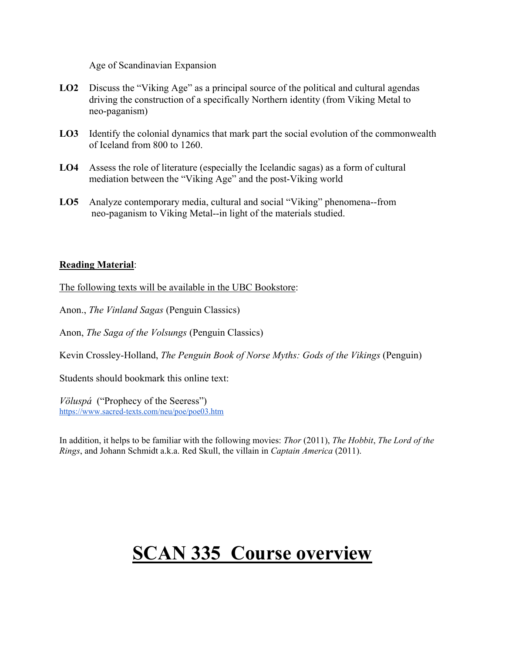Age of Scandinavian Expansion

- **LO2** Discuss the "Viking Age" as a principal source of the political and cultural agendas driving the construction of a specifically Northern identity (from Viking Metal to neo-paganism)
- **LO3** Identify the colonial dynamics that mark part the social evolution of the commonwealth of Iceland from 800 to 1260.
- **LO4** Assess the role of literature (especially the Icelandic sagas) as a form of cultural mediation between the "Viking Age" and the post-Viking world
- **LO5** Analyze contemporary media, cultural and social "Viking" phenomena--from neo-paganism to Viking Metal--in light of the materials studied.

#### **Reading Material**:

The following texts will be available in the UBC Bookstore:

Anon., *The Vinland Sagas* (Penguin Classics)

Anon, *The Saga of the Volsungs* (Penguin Classics)

Kevin Crossley-Holland, *The Penguin Book of Norse Myths: Gods of the Vikings* (Penguin)

Students should bookmark this online text:

*Völuspá* ("Prophecy of the Seeress") https://www.sacred-[texts.com/neu/poe/poe03.htm](https://www.sacred-texts.com/neu/poe/poe03.htm)

In addition, it helps to be familiar with the following movies: *Thor* (2011), *The Hobbit*, *The Lord of the Rings*, and Johann Schmidt a.k.a. Red Skull, the villain in *Captain America* (2011).

# **SCAN 335 Course overview**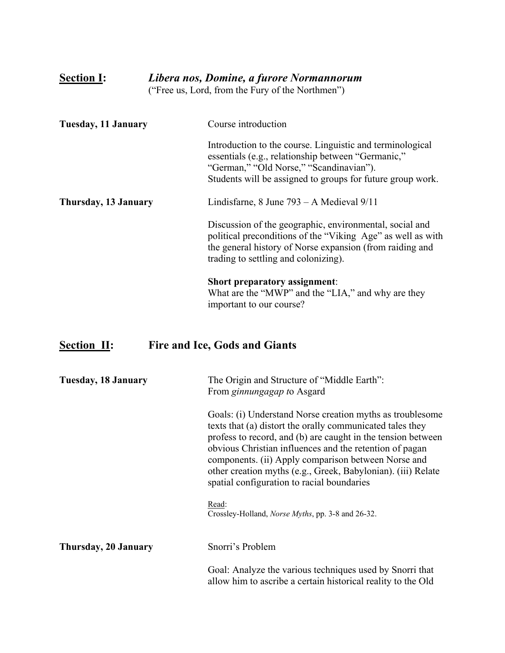| Libera nos, Domine, a furore Normannorum<br><b>Section I:</b><br>("Free us, Lord, from the Fury of the Northmen") |                                                                                                                                                                                                                            |
|-------------------------------------------------------------------------------------------------------------------|----------------------------------------------------------------------------------------------------------------------------------------------------------------------------------------------------------------------------|
| Tuesday, 11 January                                                                                               | Course introduction                                                                                                                                                                                                        |
|                                                                                                                   | Introduction to the course. Linguistic and terminological<br>essentials (e.g., relationship between "Germanic,"<br>"German," "Old Norse," "Scandinavian").<br>Students will be assigned to groups for future group work.   |
| Thursday, 13 January                                                                                              | Lindisfarne, $8$ June $793 - A$ Medieval $9/11$                                                                                                                                                                            |
|                                                                                                                   | Discussion of the geographic, environmental, social and<br>political preconditions of the "Viking Age" as well as with<br>the general history of Norse expansion (from raiding and<br>trading to settling and colonizing). |
|                                                                                                                   | <b>Short preparatory assignment:</b><br>What are the "MWP" and the "LIA," and why are they<br>important to our course?                                                                                                     |

# **Section II: Fire and Ice, Gods and Giants**

| <b>Tuesday, 18 January</b> | The Origin and Structure of "Middle Earth":<br>From ginnungagap to Asgard                                                                                                                                                                                                                                                                                                                                              |  |
|----------------------------|------------------------------------------------------------------------------------------------------------------------------------------------------------------------------------------------------------------------------------------------------------------------------------------------------------------------------------------------------------------------------------------------------------------------|--|
|                            | Goals: (i) Understand Norse creation myths as troublesome<br>texts that (a) distort the orally communicated tales they<br>profess to record, and (b) are caught in the tension between<br>obvious Christian influences and the retention of pagan<br>components. (ii) Apply comparison between Norse and<br>other creation myths (e.g., Greek, Babylonian). (iii) Relate<br>spatial configuration to racial boundaries |  |
|                            | Read:<br>Crossley-Holland, <i>Norse Myths</i> , pp. 3-8 and 26-32.                                                                                                                                                                                                                                                                                                                                                     |  |
| Thursday, 20 January       | Snorri's Problem                                                                                                                                                                                                                                                                                                                                                                                                       |  |
|                            | Goal: Analyze the various techniques used by Snorri that<br>allow him to ascribe a certain historical reality to the Old                                                                                                                                                                                                                                                                                               |  |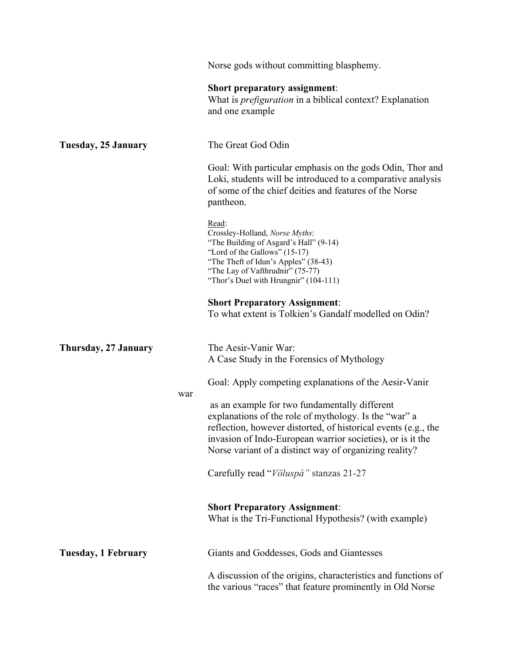|                      |     | Norse gods without committing blasphemy.                                                                                                                                                                                                                                                         |
|----------------------|-----|--------------------------------------------------------------------------------------------------------------------------------------------------------------------------------------------------------------------------------------------------------------------------------------------------|
|                      |     | <b>Short preparatory assignment:</b><br>What is <i>prefiguration</i> in a biblical context? Explanation<br>and one example                                                                                                                                                                       |
| Tuesday, 25 January  |     | The Great God Odin                                                                                                                                                                                                                                                                               |
|                      |     | Goal: With particular emphasis on the gods Odin, Thor and<br>Loki, students will be introduced to a comparative analysis<br>of some of the chief deities and features of the Norse<br>pantheon.                                                                                                  |
|                      |     | Read:<br>Crossley-Holland, Norse Myths:<br>"The Building of Asgard's Hall" (9-14)<br>"Lord of the Gallows" (15-17)<br>"The Theft of Idun's Apples" (38-43)<br>"The Lay of Vafthrudnir" (75-77)<br>"Thor's Duel with Hrungnir" (104-111)                                                          |
|                      |     | <b>Short Preparatory Assignment:</b><br>To what extent is Tolkien's Gandalf modelled on Odin?                                                                                                                                                                                                    |
| Thursday, 27 January |     | The Aesir-Vanir War:<br>A Case Study in the Forensics of Mythology                                                                                                                                                                                                                               |
|                      |     | Goal: Apply competing explanations of the Aesir-Vanir                                                                                                                                                                                                                                            |
|                      | war | as an example for two fundamentally different<br>explanations of the role of mythology. Is the "war" a<br>reflection, however distorted, of historical events (e.g., the<br>invasion of Indo-European warrior societies), or is it the<br>Norse variant of a distinct way of organizing reality? |
|                      |     | Carefully read "Völuspá" stanzas 21-27                                                                                                                                                                                                                                                           |
|                      |     | <b>Short Preparatory Assignment:</b><br>What is the Tri-Functional Hypothesis? (with example)                                                                                                                                                                                                    |
| Tuesday, 1 February  |     | Giants and Goddesses, Gods and Giantesses                                                                                                                                                                                                                                                        |
|                      |     | A discussion of the origins, characteristics and functions of<br>the various "races" that feature prominently in Old Norse                                                                                                                                                                       |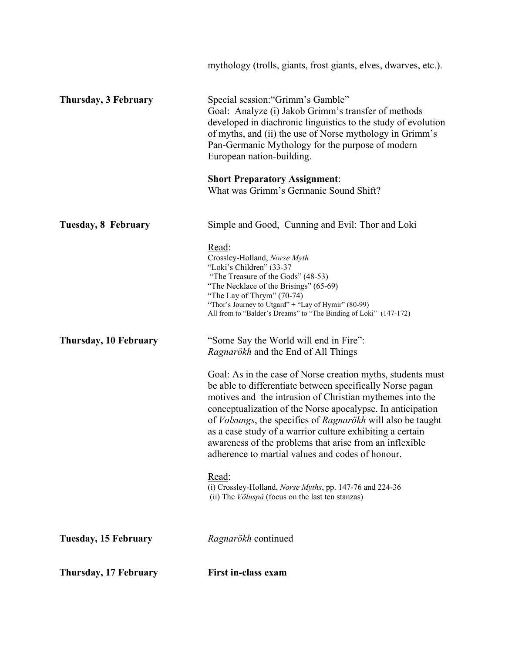|                       | mythology (trolls, giants, frost giants, elves, dwarves, etc.).                                                                                                                                                                                                                                                                                                                                                                                                                               |
|-----------------------|-----------------------------------------------------------------------------------------------------------------------------------------------------------------------------------------------------------------------------------------------------------------------------------------------------------------------------------------------------------------------------------------------------------------------------------------------------------------------------------------------|
| Thursday, 3 February  | Special session: "Grimm's Gamble"<br>Goal: Analyze (i) Jakob Grimm's transfer of methods<br>developed in diachronic linguistics to the study of evolution<br>of myths, and (ii) the use of Norse mythology in Grimm's<br>Pan-Germanic Mythology for the purpose of modern<br>European nation-building.                                                                                                                                                                                        |
|                       | <b>Short Preparatory Assignment:</b><br>What was Grimm's Germanic Sound Shift?                                                                                                                                                                                                                                                                                                                                                                                                                |
| Tuesday, 8 February   | Simple and Good, Cunning and Evil: Thor and Loki                                                                                                                                                                                                                                                                                                                                                                                                                                              |
|                       | Read:<br>Crossley-Holland, Norse Myth<br>"Loki's Children" (33-37<br>"The Treasure of the Gods" (48-53)<br>"The Necklace of the Brisings" (65-69)<br>"The Lay of Thrym" (70-74)<br>"Thor's Journey to Utgard" + "Lay of Hymir" (80-99)<br>All from to "Balder's Dreams" to "The Binding of Loki" (147-172)                                                                                                                                                                                    |
| Thursday, 10 February | "Some Say the World will end in Fire":<br>Ragnarökh and the End of All Things                                                                                                                                                                                                                                                                                                                                                                                                                 |
|                       | Goal: As in the case of Norse creation myths, students must<br>be able to differentiate between specifically Norse pagan<br>motives and the intrusion of Christian mythemes into the<br>conceptualization of the Norse apocalypse. In anticipation<br>of Volsungs, the specifics of Ragnarökh will also be taught<br>as a case study of a warrior culture exhibiting a certain<br>awareness of the problems that arise from an inflexible<br>adherence to martial values and codes of honour. |
|                       | Read:<br>(i) Crossley-Holland, Norse Myths, pp. 147-76 and 224-36<br>(ii) The <i>Völuspá</i> (focus on the last ten stanzas)                                                                                                                                                                                                                                                                                                                                                                  |
| Tuesday, 15 February  | Ragnarökh continued                                                                                                                                                                                                                                                                                                                                                                                                                                                                           |
| Thursday, 17 February | <b>First in-class exam</b>                                                                                                                                                                                                                                                                                                                                                                                                                                                                    |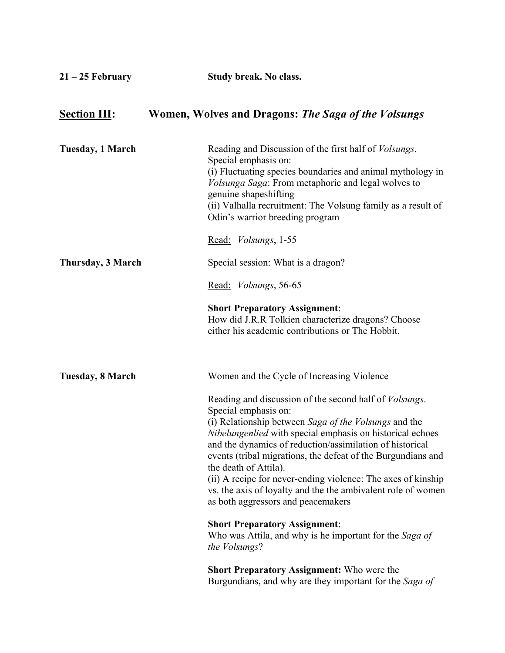| $21 - 25$ February  | Study break. No class.                                                                                                                                                                                                                                                                                                                                                                                                                                                                                                                         |
|---------------------|------------------------------------------------------------------------------------------------------------------------------------------------------------------------------------------------------------------------------------------------------------------------------------------------------------------------------------------------------------------------------------------------------------------------------------------------------------------------------------------------------------------------------------------------|
| <b>Section III:</b> | Women, Wolves and Dragons: The Saga of the Volsungs                                                                                                                                                                                                                                                                                                                                                                                                                                                                                            |
| Tuesday, 1 March    | Reading and Discussion of the first half of <i>Volsungs</i> .<br>Special emphasis on:<br>(i) Fluctuating species boundaries and animal mythology in<br><i>Volsunga Saga</i> : From metaphoric and legal wolves to<br>genuine shapeshifting<br>(ii) Valhalla recruitment: The Volsung family as a result of<br>Odin's warrior breeding program                                                                                                                                                                                                  |
|                     | Read: Volsungs, 1-55                                                                                                                                                                                                                                                                                                                                                                                                                                                                                                                           |
| Thursday, 3 March   | Special session: What is a dragon?                                                                                                                                                                                                                                                                                                                                                                                                                                                                                                             |
|                     | Read: <i>Volsungs</i> , 56-65                                                                                                                                                                                                                                                                                                                                                                                                                                                                                                                  |
|                     | <b>Short Preparatory Assignment:</b><br>How did J.R.R Tolkien characterize dragons? Choose<br>either his academic contributions or The Hobbit.                                                                                                                                                                                                                                                                                                                                                                                                 |
| Tuesday, 8 March    | Women and the Cycle of Increasing Violence                                                                                                                                                                                                                                                                                                                                                                                                                                                                                                     |
|                     | Reading and discussion of the second half of <i>Volsungs</i> .<br>Special emphasis on:<br>(i) Relationship between Saga of the Volsungs and the<br><i>Nibelungenlied</i> with special emphasis on historical echoes<br>and the dynamics of reduction/assimilation of historical<br>events (tribal migrations, the defeat of the Burgundians and<br>the death of Attila).<br>(ii) A recipe for never-ending violence: The axes of kinship<br>vs. the axis of loyalty and the the ambivalent role of women<br>as both aggressors and peacemakers |
|                     | <b>Short Preparatory Assignment:</b><br>Who was Attila, and why is he important for the Saga of<br>the Volsungs?                                                                                                                                                                                                                                                                                                                                                                                                                               |
|                     | <b>Short Preparatory Assignment:</b> Who were the<br>Burgundians, and why are they important for the Saga of                                                                                                                                                                                                                                                                                                                                                                                                                                   |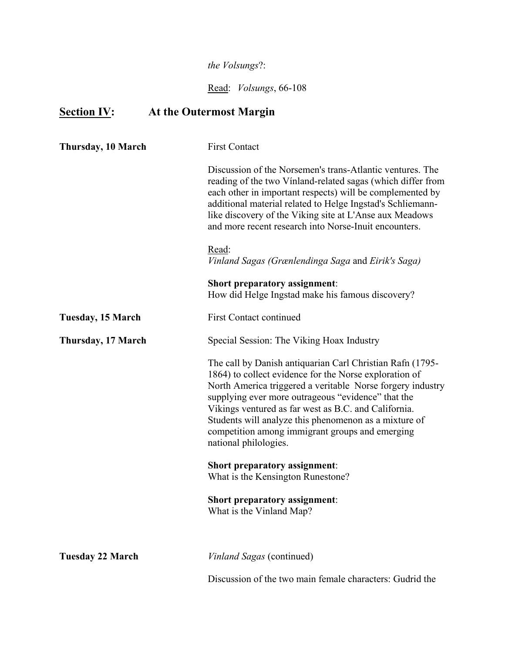### *the Volsungs*?:

Read: *Volsungs*, 66-108

## **Section IV: At the Outermost Margin**

| Thursday, 10 March       | <b>First Contact</b>                                                                                                                                                                                                                                                                                                                                                                                                                 |
|--------------------------|--------------------------------------------------------------------------------------------------------------------------------------------------------------------------------------------------------------------------------------------------------------------------------------------------------------------------------------------------------------------------------------------------------------------------------------|
|                          | Discussion of the Norsemen's trans-Atlantic ventures. The<br>reading of the two Vinland-related sagas (which differ from<br>each other in important respects) will be complemented by<br>additional material related to Helge Ingstad's Schliemann-<br>like discovery of the Viking site at L'Anse aux Meadows<br>and more recent research into Norse-Inuit encounters.                                                              |
|                          | Read:<br>Vinland Sagas (Grænlendinga Saga and Eirik's Saga)                                                                                                                                                                                                                                                                                                                                                                          |
|                          | <b>Short preparatory assignment:</b><br>How did Helge Ingstad make his famous discovery?                                                                                                                                                                                                                                                                                                                                             |
| <b>Tuesday, 15 March</b> | <b>First Contact continued</b>                                                                                                                                                                                                                                                                                                                                                                                                       |
| Thursday, 17 March       | Special Session: The Viking Hoax Industry                                                                                                                                                                                                                                                                                                                                                                                            |
|                          | The call by Danish antiquarian Carl Christian Rafn (1795-<br>1864) to collect evidence for the Norse exploration of<br>North America triggered a veritable Norse forgery industry<br>supplying ever more outrageous "evidence" that the<br>Vikings ventured as far west as B.C. and California.<br>Students will analyze this phenomenon as a mixture of<br>competition among immigrant groups and emerging<br>national philologies. |
|                          | <b>Short preparatory assignment:</b><br>What is the Kensington Runestone?                                                                                                                                                                                                                                                                                                                                                            |
|                          | <b>Short preparatory assignment:</b><br>What is the Vinland Map?                                                                                                                                                                                                                                                                                                                                                                     |
| <b>Tuesday 22 March</b>  | Vinland Sagas (continued)                                                                                                                                                                                                                                                                                                                                                                                                            |
|                          | Discussion of the two main female characters: Gudrid the                                                                                                                                                                                                                                                                                                                                                                             |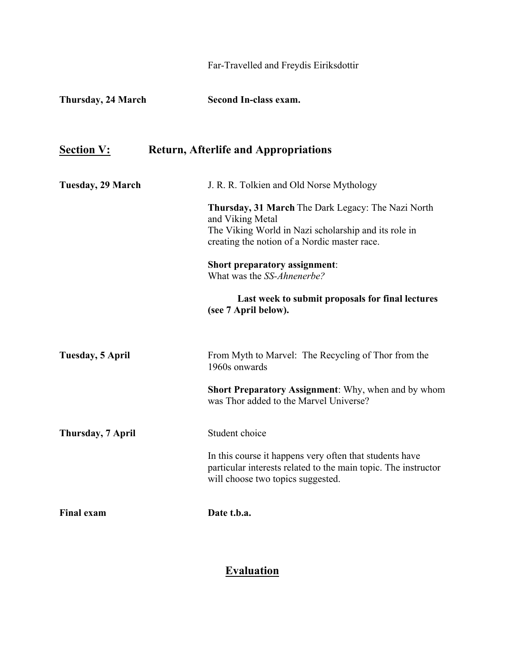|                    | Far-Travelled and Freydis Eiriksdottir                                                                                                                                                                                                                                                                                           |
|--------------------|----------------------------------------------------------------------------------------------------------------------------------------------------------------------------------------------------------------------------------------------------------------------------------------------------------------------------------|
| Thursday, 24 March | Second In-class exam.                                                                                                                                                                                                                                                                                                            |
| <b>Section V:</b>  | <b>Return, Afterlife and Appropriations</b>                                                                                                                                                                                                                                                                                      |
| Tuesday, 29 March  | J. R. R. Tolkien and Old Norse Mythology                                                                                                                                                                                                                                                                                         |
|                    | Thursday, 31 March The Dark Legacy: The Nazi North<br>and Viking Metal<br>The Viking World in Nazi scholarship and its role in<br>creating the notion of a Nordic master race.<br><b>Short preparatory assignment:</b><br>What was the SS-Ahnenerbe?<br>Last week to submit proposals for final lectures<br>(see 7 April below). |
| Tuesday, 5 April   | From Myth to Marvel: The Recycling of Thor from the<br>1960s onwards                                                                                                                                                                                                                                                             |
|                    | <b>Short Preparatory Assignment:</b> Why, when and by whom<br>was Thor added to the Marvel Universe?                                                                                                                                                                                                                             |
| Thursday, 7 April  | Student choice                                                                                                                                                                                                                                                                                                                   |
|                    | In this course it happens very often that students have<br>particular interests related to the main topic. The instructor<br>will choose two topics suggested.                                                                                                                                                                   |
| <b>Final exam</b>  | Date t.b.a.                                                                                                                                                                                                                                                                                                                      |

### **Evaluation**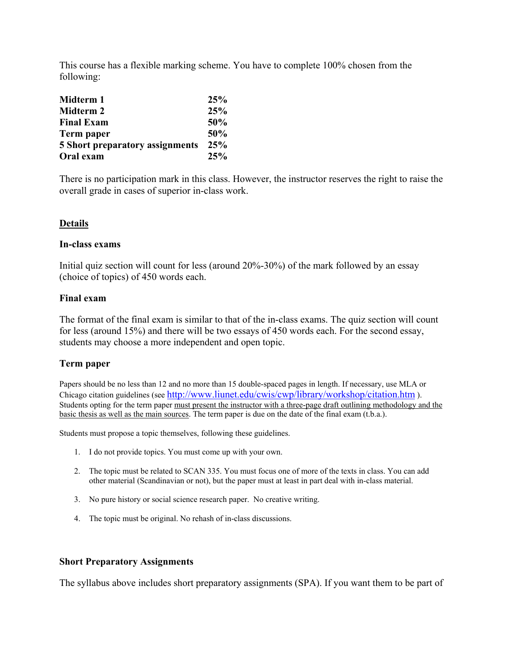This course has a flexible marking scheme. You have to complete 100% chosen from the following:

| Midterm 1                              | 25% |
|----------------------------------------|-----|
| Midterm 2                              | 25% |
| <b>Final Exam</b>                      | 50% |
| Term paper                             | 50% |
| <b>5 Short preparatory assignments</b> | 25% |
| Oral exam                              | 25% |

There is no participation mark in this class. However, the instructor reserves the right to raise the overall grade in cases of superior in-class work.

#### **Details**

#### **In-class exams**

Initial quiz section will count for less (around 20%-30%) of the mark followed by an essay (choice of topics) of 450 words each.

#### **Final exam**

The format of the final exam is similar to that of the in-class exams. The quiz section will count for less (around 15%) and there will be two essays of 450 words each. For the second essay, students may choose a more independent and open topic.

#### **Term paper**

Papers should be no less than 12 and no more than 15 double-spaced pages in length. If necessary, use MLA or Chicago citation guidelines (se[e http://www.liunet.edu/cwis/cwp/library/workshop/citation.htm](http://www.liunet.edu/cwis/cwp/library/workshop/citation.htm) ). Students opting for the term paper must present the instructor with a three-page draft outlining methodology and the basic thesis as well as the main sources. The term paper is due on the date of the final exam (t.b.a.).

Students must propose a topic themselves, following these guidelines.

- 1. I do not provide topics. You must come up with your own.
- 2. The topic must be related to SCAN 335. You must focus one of more of the texts in class. You can add other material (Scandinavian or not), but the paper must at least in part deal with in-class material.
- 3. No pure history or social science research paper. No creative writing.
- 4. The topic must be original. No rehash of in-class discussions.

#### **Short Preparatory Assignments**

The syllabus above includes short preparatory assignments (SPA). If you want them to be part of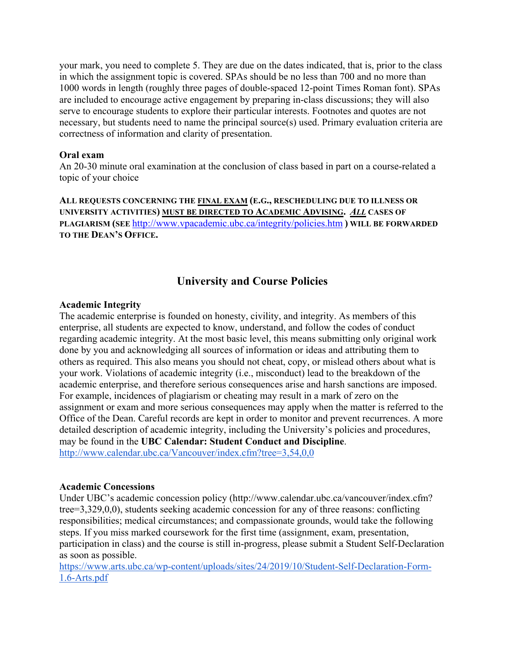your mark, you need to complete 5. They are due on the dates indicated, that is, prior to the class in which the assignment topic is covered. SPAs should be no less than 700 and no more than 1000 words in length (roughly three pages of double-spaced 12-point Times Roman font). SPAs are included to encourage active engagement by preparing in-class discussions; they will also serve to encourage students to explore their particular interests. Footnotes and quotes are not necessary, but students need to name the principal source(s) used. Primary evaluation criteria are correctness of information and clarity of presentation.

#### **Oral exam**

An 20-30 minute oral examination at the conclusion of class based in part on a course-related a topic of your choice

**ALL REQUESTS CONCERNING THE FINAL EXAM (E.G., RESCHEDULING DUE TO ILLNESS OR UNIVERSITY ACTIVITIES) MUST BE DIRECTED TO ACADEMIC ADVISING.** *ALL* **CASES OF PLAGIARISM (SEE** <http://www.vpacademic.ubc.ca/integrity/policies.htm> **) WILL BE FORWARDED TO THE DEAN'S OFFICE.**

### **University and Course Policies**

#### **Academic Integrity**

The academic enterprise is founded on honesty, civility, and integrity. As members of this enterprise, all students are expected to know, understand, and follow the codes of conduct regarding academic integrity. At the most basic level, this means submitting only original work done by you and acknowledging all sources of information or ideas and attributing them to others as required. This also means you should not cheat, copy, or mislead others about what is your work. Violations of academic integrity (i.e., misconduct) lead to the breakdown of the academic enterprise, and therefore serious consequences arise and harsh sanctions are imposed. For example, incidences of plagiarism or cheating may result in a mark of zero on the assignment or exam and more serious consequences may apply when the matter is referred to the Office of the Dean. Careful records are kept in order to monitor and prevent recurrences. A more detailed description of academic integrity, including the University's policies and procedures, may be found in the **UBC Calendar: Student Conduct and Discipline**. <http://www.calendar.ubc.ca/Vancouver/index.cfm?tree=3,54,0,0>

#### **Academic Concessions**

Under UBC's academic concession policy (http://www.calendar.ubc.ca/vancouver/index.cfm? tree=3,329,0,0), students seeking academic concession for any of three reasons: conflicting responsibilities; medical circumstances; and compassionate grounds, would take the following steps. If you miss marked coursework for the first time (assignment, exam, presentation, participation in class) and the course is still in-progress, please submit a Student Self-Declaration as soon as possible.

https://www.arts.ubc.ca/wp-[content/uploads/sites/24/2019/10/Student](https://www.arts.ubc.ca/wp-content/uploads/sites/24/2019/10/Student-Self-Declaration-Form-1.6-Arts.pdf)-Self-Declaration-Form-1.6-[Arts.pdf](https://www.arts.ubc.ca/wp-content/uploads/sites/24/2019/10/Student-Self-Declaration-Form-1.6-Arts.pdf)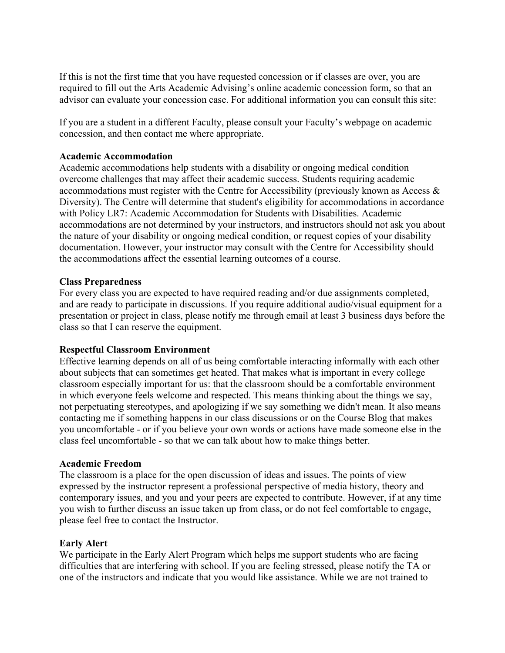If this is not the first time that you have requested concession or if classes are over, you are required to fill out the Arts Academic Advising's online academic concession form, so that an advisor can evaluate your concession case. For additional information you can consult this site:

If you are a student in a different Faculty, please consult your Faculty's webpage on academic concession, and then contact me where appropriate.

#### **Academic Accommodation**

Academic accommodations help students with a disability or ongoing medical condition overcome challenges that may affect their academic success. Students requiring academic accommodations must register with the Centre for Accessibility (previously known as Access & Diversity). The Centre will determine that student's eligibility for accommodations in accordance with Policy LR7: Academic Accommodation for Students with Disabilities. Academic accommodations are not determined by your instructors, and instructors should not ask you about the nature of your disability or ongoing medical condition, or request copies of your disability documentation. However, your instructor may consult with the Centre for Accessibility should the accommodations affect the essential learning outcomes of a course.

#### **Class Preparedness**

For every class you are expected to have required reading and/or due assignments completed, and are ready to participate in discussions. If you require additional audio/visual equipment for a presentation or project in class, please notify me through email at least 3 business days before the class so that I can reserve the equipment.

#### **Respectful Classroom Environment**

Effective learning depends on all of us being comfortable interacting informally with each other about subjects that can sometimes get heated. That makes what is important in every college classroom especially important for us: that the classroom should be a comfortable environment in which everyone feels welcome and respected. This means thinking about the things we say, not perpetuating stereotypes, and apologizing if we say something we didn't mean. It also means contacting me if something happens in our class discussions or on the Course Blog that makes you uncomfortable - or if you believe your own words or actions have made someone else in the class feel uncomfortable - so that we can talk about how to make things better.

#### **Academic Freedom**

The classroom is a place for the open discussion of ideas and issues. The points of view expressed by the instructor represent a professional perspective of media history, theory and contemporary issues, and you and your peers are expected to contribute. However, if at any time you wish to further discuss an issue taken up from class, or do not feel comfortable to engage, please feel free to contact the Instructor.

#### **Early Alert**

We participate in the Early Alert Program which helps me support students who are facing difficulties that are interfering with school. If you are feeling stressed, please notify the TA or one of the instructors and indicate that you would like assistance. While we are not trained to